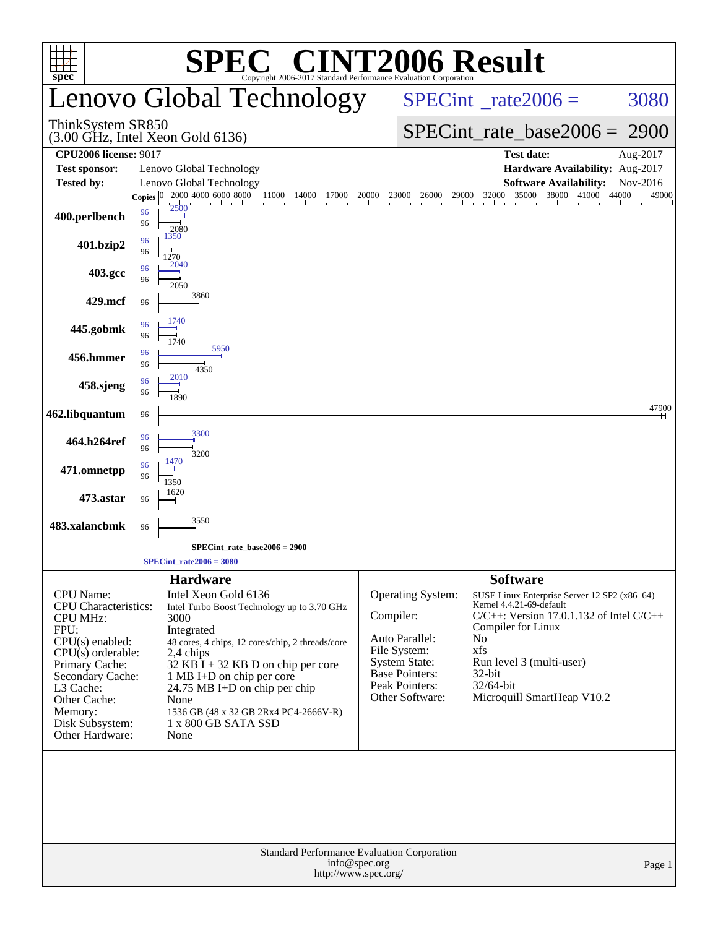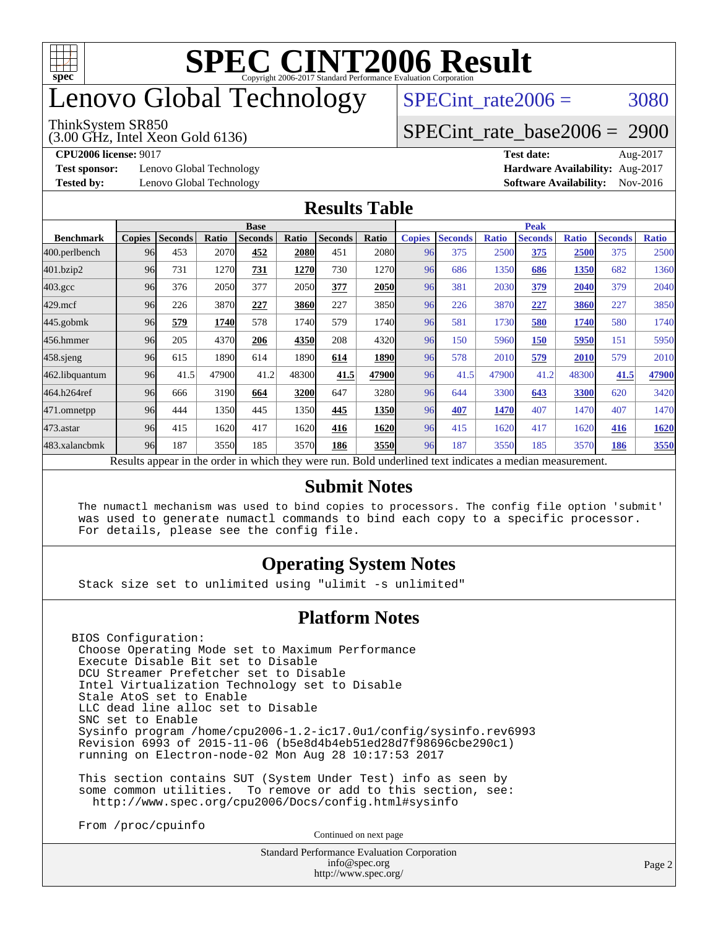![](_page_1_Picture_0.jpeg)

## enovo Global Technology

#### ThinkSystem SR850

(3.00 GHz, Intel Xeon Gold 6136)

SPECint rate $2006 = 3080$ 

### [SPECint\\_rate\\_base2006 =](http://www.spec.org/auto/cpu2006/Docs/result-fields.html#SPECintratebase2006) 2900

**[Test sponsor:](http://www.spec.org/auto/cpu2006/Docs/result-fields.html#Testsponsor)** Lenovo Global Technology **[Hardware Availability:](http://www.spec.org/auto/cpu2006/Docs/result-fields.html#HardwareAvailability)** Aug-2017

**[CPU2006 license:](http://www.spec.org/auto/cpu2006/Docs/result-fields.html#CPU2006license)** 9017 **[Test date:](http://www.spec.org/auto/cpu2006/Docs/result-fields.html#Testdate)** Aug-2017 **[Tested by:](http://www.spec.org/auto/cpu2006/Docs/result-fields.html#Testedby)** Lenovo Global Technology **[Software Availability:](http://www.spec.org/auto/cpu2006/Docs/result-fields.html#SoftwareAvailability)** Nov-2016

### **[Results Table](http://www.spec.org/auto/cpu2006/Docs/result-fields.html#ResultsTable)**

|                    | <b>Base</b>   |                |       |                |       |                |       |               | <b>Peak</b>    |              |                                                                                                          |              |                |              |  |
|--------------------|---------------|----------------|-------|----------------|-------|----------------|-------|---------------|----------------|--------------|----------------------------------------------------------------------------------------------------------|--------------|----------------|--------------|--|
| <b>Benchmark</b>   | <b>Copies</b> | <b>Seconds</b> | Ratio | <b>Seconds</b> | Ratio | <b>Seconds</b> | Ratio | <b>Copies</b> | <b>Seconds</b> | <b>Ratio</b> | <b>Seconds</b>                                                                                           | <b>Ratio</b> | <b>Seconds</b> | <b>Ratio</b> |  |
| 400.perlbench      | 96            | 453            | 2070  | 452            | 2080  | 451            | 2080  | 96            | 375            | 2500         | 375                                                                                                      | 2500         | 375            | 2500         |  |
| 401.bzip2          | 96            | 731            | 1270  | 731            | 1270  | 730            | 1270  | 96            | 686            | 1350         | 686                                                                                                      | 1350         | 682            | 1360         |  |
| $403.\mathrm{gcc}$ | 96            | 376            | 2050  | 377            | 2050  | 377            | 2050  | 96            | 381            | 2030         | 379                                                                                                      | 2040         | 379            | 2040         |  |
| $429$ .mcf         | 96            | 226            | 3870  | 227            | 3860  | 227            | 3850  | 96            | 226            | 3870         | 227                                                                                                      | 3860         | 227            | 3850         |  |
| $445$ .gobmk       | 96            | 579            | 1740  | 578            | 1740  | 579            | 1740  | 96            | 581            | 1730         | 580                                                                                                      | 1740         | 580            | 1740         |  |
| 456.hmmer          | 96            | 205            | 4370  | 206            | 4350  | 208            | 4320  | 96            | 150            | 5960         | 150                                                                                                      | 5950         | 151            | 5950         |  |
| $458$ .sjeng       | 96            | 615            | 1890  | 614            | 1890  | 614            | 1890  | 96            | 578            | 2010         | 579                                                                                                      | 2010         | 579            | 2010         |  |
| 462.libquantum     | 96            | 41.5           | 47900 | 41.2           | 48300 | 41.5           | 47900 | 96            | 41.5           | 47900        | 41.2                                                                                                     | 48300        | 41.5           | 47900        |  |
| 464.h264ref        | 96            | 666            | 3190  | 664            | 3200  | 647            | 3280  | 96            | 644            | 3300         | 643                                                                                                      | 3300         | 620            | 3420         |  |
| 471.omnetpp        | 96            | 444            | 1350  | 445            | 1350  | 445            | 1350  | 96            | 407            | 1470         | 407                                                                                                      | 1470         | 407            | 1470         |  |
| 473.astar          | 96            | 415            | 1620  | 417            | 1620  | 416            | 1620  | 96            | 415            | 1620         | 417                                                                                                      | 1620         | 416            | 1620         |  |
| 483.xalancbmk      | 96            | 187            | 3550  | 185            | 3570  | 186            | 3550  | 96            | 187            | 3550         | 185                                                                                                      | 3570         | 186            | 3550         |  |
|                    |               |                |       |                |       |                |       |               |                |              | Results appear in the order in which they were run. Bold underlined text indicates a median measurement. |              |                |              |  |

### **[Submit Notes](http://www.spec.org/auto/cpu2006/Docs/result-fields.html#SubmitNotes)**

 The numactl mechanism was used to bind copies to processors. The config file option 'submit' was used to generate numactl commands to bind each copy to a specific processor. For details, please see the config file.

### **[Operating System Notes](http://www.spec.org/auto/cpu2006/Docs/result-fields.html#OperatingSystemNotes)**

Stack size set to unlimited using "ulimit -s unlimited"

### **[Platform Notes](http://www.spec.org/auto/cpu2006/Docs/result-fields.html#PlatformNotes)**

BIOS Configuration: Choose Operating Mode set to Maximum Performance Execute Disable Bit set to Disable DCU Streamer Prefetcher set to Disable Intel Virtualization Technology set to Disable Stale AtoS set to Enable LLC dead line alloc set to Disable SNC set to Enable Sysinfo program /home/cpu2006-1.2-ic17.0u1/config/sysinfo.rev6993 Revision 6993 of 2015-11-06 (b5e8d4b4eb51ed28d7f98696cbe290c1) running on Electron-node-02 Mon Aug 28 10:17:53 2017

 This section contains SUT (System Under Test) info as seen by some common utilities. To remove or add to this section, see: <http://www.spec.org/cpu2006/Docs/config.html#sysinfo>

From /proc/cpuinfo

Continued on next page

Standard Performance Evaluation Corporation [info@spec.org](mailto:info@spec.org) <http://www.spec.org/>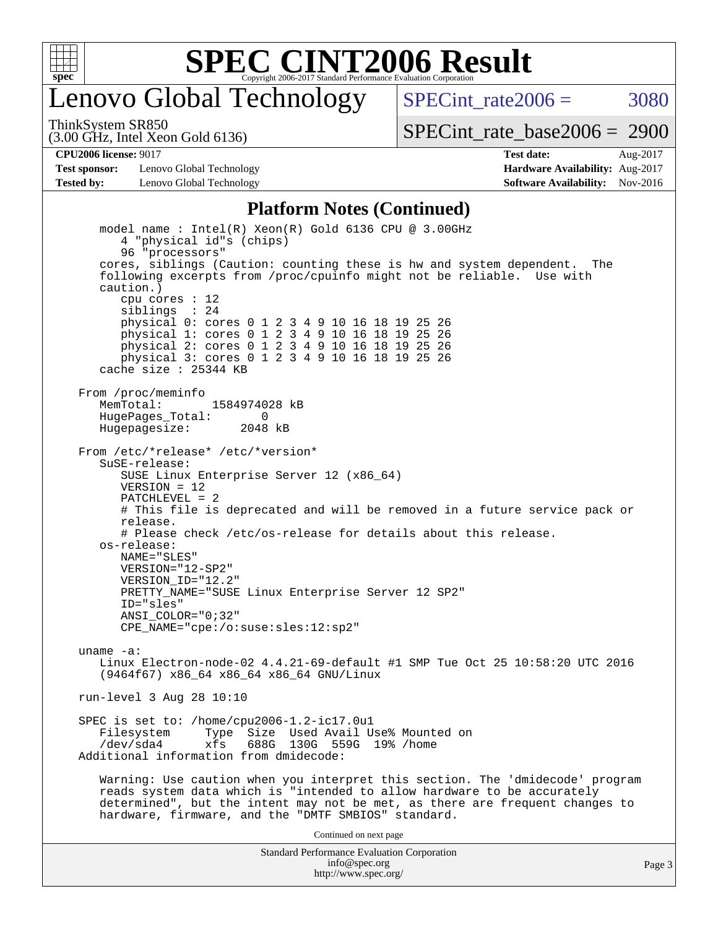![](_page_2_Picture_0.jpeg)

### enovo Global Technology

SPECint rate $2006 = 3080$ 

(3.00 GHz, Intel Xeon Gold 6136) ThinkSystem SR850

[SPECint\\_rate\\_base2006 =](http://www.spec.org/auto/cpu2006/Docs/result-fields.html#SPECintratebase2006) 2900

**[Test sponsor:](http://www.spec.org/auto/cpu2006/Docs/result-fields.html#Testsponsor)** Lenovo Global Technology **[Hardware Availability:](http://www.spec.org/auto/cpu2006/Docs/result-fields.html#HardwareAvailability)** Aug-2017 **[Tested by:](http://www.spec.org/auto/cpu2006/Docs/result-fields.html#Testedby)** Lenovo Global Technology **[Software Availability:](http://www.spec.org/auto/cpu2006/Docs/result-fields.html#SoftwareAvailability)** Nov-2016

**[CPU2006 license:](http://www.spec.org/auto/cpu2006/Docs/result-fields.html#CPU2006license)** 9017 **[Test date:](http://www.spec.org/auto/cpu2006/Docs/result-fields.html#Testdate)** Aug-2017

### **[Platform Notes \(Continued\)](http://www.spec.org/auto/cpu2006/Docs/result-fields.html#PlatformNotes)**

Standard Performance Evaluation Corporation model name : Intel(R) Xeon(R) Gold 6136 CPU @ 3.00GHz 4 "physical id"s (chips) 96 "processors" cores, siblings (Caution: counting these is hw and system dependent. The following excerpts from /proc/cpuinfo might not be reliable. Use with caution.) cpu cores : 12 siblings : 24 physical 0: cores 0 1 2 3 4 9 10 16 18 19 25 26 physical 1: cores 0 1 2 3 4 9 10 16 18 19 25 26 physical 2: cores 0 1 2 3 4 9 10 16 18 19 25 26 physical 3: cores 0 1 2 3 4 9 10 16 18 19 25 26 cache size : 25344 KB From /proc/meminfo MemTotal: 1584974028 kB<br>HugeBages Total: 0 HugePages\_Total: 0 Hugepagesize: 2048 kB From /etc/\*release\* /etc/\*version\* SuSE-release: SUSE Linux Enterprise Server 12 (x86\_64) VERSION = 12 PATCHLEVEL = 2 # This file is deprecated and will be removed in a future service pack or release. # Please check /etc/os-release for details about this release. os-release: NAME="SLES" VERSION="12-SP2" VERSION\_ID="12.2" PRETTY\_NAME="SUSE Linux Enterprise Server 12 SP2" ID="sles" ANSI\_COLOR="0;32" CPE\_NAME="cpe:/o:suse:sles:12:sp2" uname -a: Linux Electron-node-02 4.4.21-69-default #1 SMP Tue Oct 25 10:58:20 UTC 2016 (9464f67) x86\_64 x86\_64 x86\_64 GNU/Linux run-level 3 Aug 28 10:10 SPEC is set to: /home/cpu2006-1.2-ic17.0u1 Type Size Used Avail Use% Mounted on /dev/sda4 xfs 688G 130G 559G 19% /home Additional information from dmidecode: Warning: Use caution when you interpret this section. The 'dmidecode' program reads system data which is "intended to allow hardware to be accurately determined", but the intent may not be met, as there are frequent changes to hardware, firmware, and the "DMTF SMBIOS" standard. Continued on next page

[info@spec.org](mailto:info@spec.org) <http://www.spec.org/>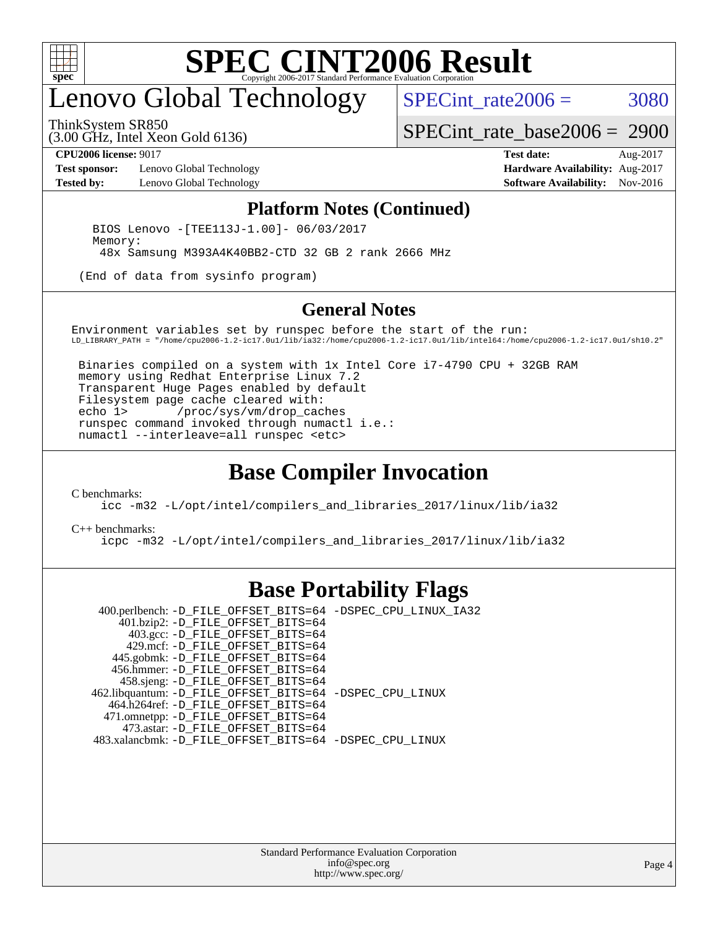![](_page_3_Picture_0.jpeg)

## enovo Global Technology

ThinkSystem SR850

SPECint rate $2006 = 3080$ 

(3.00 GHz, Intel Xeon Gold 6136)

[SPECint\\_rate\\_base2006 =](http://www.spec.org/auto/cpu2006/Docs/result-fields.html#SPECintratebase2006) 2900

**[Test sponsor:](http://www.spec.org/auto/cpu2006/Docs/result-fields.html#Testsponsor)** Lenovo Global Technology **[Hardware Availability:](http://www.spec.org/auto/cpu2006/Docs/result-fields.html#HardwareAvailability)** Aug-2017 **[Tested by:](http://www.spec.org/auto/cpu2006/Docs/result-fields.html#Testedby)** Lenovo Global Technology **[Software Availability:](http://www.spec.org/auto/cpu2006/Docs/result-fields.html#SoftwareAvailability)** Nov-2016

**[CPU2006 license:](http://www.spec.org/auto/cpu2006/Docs/result-fields.html#CPU2006license)** 9017 **[Test date:](http://www.spec.org/auto/cpu2006/Docs/result-fields.html#Testdate)** Aug-2017

#### **[Platform Notes \(Continued\)](http://www.spec.org/auto/cpu2006/Docs/result-fields.html#PlatformNotes)**

 BIOS Lenovo -[TEE113J-1.00]- 06/03/2017 Memory: 48x Samsung M393A4K40BB2-CTD 32 GB 2 rank 2666 MHz

(End of data from sysinfo program)

#### **[General Notes](http://www.spec.org/auto/cpu2006/Docs/result-fields.html#GeneralNotes)**

Environment variables set by runspec before the start of the run: LD\_LIBRARY\_PATH = "/home/cpu2006-1.2-ic17.0u1/lib/ia32:/home/cpu2006-1.2-ic17.0u1/lib/intel64:/home/cpu2006-1.2-ic17.0u1/sh10.2"

 Binaries compiled on a system with 1x Intel Core i7-4790 CPU + 32GB RAM memory using Redhat Enterprise Linux 7.2 Transparent Huge Pages enabled by default Filesystem page cache cleared with: echo 1> /proc/sys/vm/drop\_caches runspec command invoked through numactl i.e.: numactl --interleave=all runspec <etc>

### **[Base Compiler Invocation](http://www.spec.org/auto/cpu2006/Docs/result-fields.html#BaseCompilerInvocation)**

[C benchmarks](http://www.spec.org/auto/cpu2006/Docs/result-fields.html#Cbenchmarks):

[icc -m32 -L/opt/intel/compilers\\_and\\_libraries\\_2017/linux/lib/ia32](http://www.spec.org/cpu2006/results/res2017q4/cpu2006-20170918-49944.flags.html#user_CCbase_intel_icc_c29f3ff5a7ed067b11e4ec10a03f03ae)

[C++ benchmarks:](http://www.spec.org/auto/cpu2006/Docs/result-fields.html#CXXbenchmarks)

[icpc -m32 -L/opt/intel/compilers\\_and\\_libraries\\_2017/linux/lib/ia32](http://www.spec.org/cpu2006/results/res2017q4/cpu2006-20170918-49944.flags.html#user_CXXbase_intel_icpc_8c35c7808b62dab9ae41a1aa06361b6b)

### **[Base Portability Flags](http://www.spec.org/auto/cpu2006/Docs/result-fields.html#BasePortabilityFlags)**

 400.perlbench: [-D\\_FILE\\_OFFSET\\_BITS=64](http://www.spec.org/cpu2006/results/res2017q4/cpu2006-20170918-49944.flags.html#user_basePORTABILITY400_perlbench_file_offset_bits_64_438cf9856305ebd76870a2c6dc2689ab) [-DSPEC\\_CPU\\_LINUX\\_IA32](http://www.spec.org/cpu2006/results/res2017q4/cpu2006-20170918-49944.flags.html#b400.perlbench_baseCPORTABILITY_DSPEC_CPU_LINUX_IA32) 401.bzip2: [-D\\_FILE\\_OFFSET\\_BITS=64](http://www.spec.org/cpu2006/results/res2017q4/cpu2006-20170918-49944.flags.html#user_basePORTABILITY401_bzip2_file_offset_bits_64_438cf9856305ebd76870a2c6dc2689ab) 403.gcc: [-D\\_FILE\\_OFFSET\\_BITS=64](http://www.spec.org/cpu2006/results/res2017q4/cpu2006-20170918-49944.flags.html#user_basePORTABILITY403_gcc_file_offset_bits_64_438cf9856305ebd76870a2c6dc2689ab) 429.mcf: [-D\\_FILE\\_OFFSET\\_BITS=64](http://www.spec.org/cpu2006/results/res2017q4/cpu2006-20170918-49944.flags.html#user_basePORTABILITY429_mcf_file_offset_bits_64_438cf9856305ebd76870a2c6dc2689ab) 445.gobmk: [-D\\_FILE\\_OFFSET\\_BITS=64](http://www.spec.org/cpu2006/results/res2017q4/cpu2006-20170918-49944.flags.html#user_basePORTABILITY445_gobmk_file_offset_bits_64_438cf9856305ebd76870a2c6dc2689ab) 456.hmmer: [-D\\_FILE\\_OFFSET\\_BITS=64](http://www.spec.org/cpu2006/results/res2017q4/cpu2006-20170918-49944.flags.html#user_basePORTABILITY456_hmmer_file_offset_bits_64_438cf9856305ebd76870a2c6dc2689ab) 458.sjeng: [-D\\_FILE\\_OFFSET\\_BITS=64](http://www.spec.org/cpu2006/results/res2017q4/cpu2006-20170918-49944.flags.html#user_basePORTABILITY458_sjeng_file_offset_bits_64_438cf9856305ebd76870a2c6dc2689ab) 462.libquantum: [-D\\_FILE\\_OFFSET\\_BITS=64](http://www.spec.org/cpu2006/results/res2017q4/cpu2006-20170918-49944.flags.html#user_basePORTABILITY462_libquantum_file_offset_bits_64_438cf9856305ebd76870a2c6dc2689ab) [-DSPEC\\_CPU\\_LINUX](http://www.spec.org/cpu2006/results/res2017q4/cpu2006-20170918-49944.flags.html#b462.libquantum_baseCPORTABILITY_DSPEC_CPU_LINUX) 464.h264ref: [-D\\_FILE\\_OFFSET\\_BITS=64](http://www.spec.org/cpu2006/results/res2017q4/cpu2006-20170918-49944.flags.html#user_basePORTABILITY464_h264ref_file_offset_bits_64_438cf9856305ebd76870a2c6dc2689ab) 471.omnetpp: [-D\\_FILE\\_OFFSET\\_BITS=64](http://www.spec.org/cpu2006/results/res2017q4/cpu2006-20170918-49944.flags.html#user_basePORTABILITY471_omnetpp_file_offset_bits_64_438cf9856305ebd76870a2c6dc2689ab) 473.astar: [-D\\_FILE\\_OFFSET\\_BITS=64](http://www.spec.org/cpu2006/results/res2017q4/cpu2006-20170918-49944.flags.html#user_basePORTABILITY473_astar_file_offset_bits_64_438cf9856305ebd76870a2c6dc2689ab) 483.xalancbmk: [-D\\_FILE\\_OFFSET\\_BITS=64](http://www.spec.org/cpu2006/results/res2017q4/cpu2006-20170918-49944.flags.html#user_basePORTABILITY483_xalancbmk_file_offset_bits_64_438cf9856305ebd76870a2c6dc2689ab) [-DSPEC\\_CPU\\_LINUX](http://www.spec.org/cpu2006/results/res2017q4/cpu2006-20170918-49944.flags.html#b483.xalancbmk_baseCXXPORTABILITY_DSPEC_CPU_LINUX)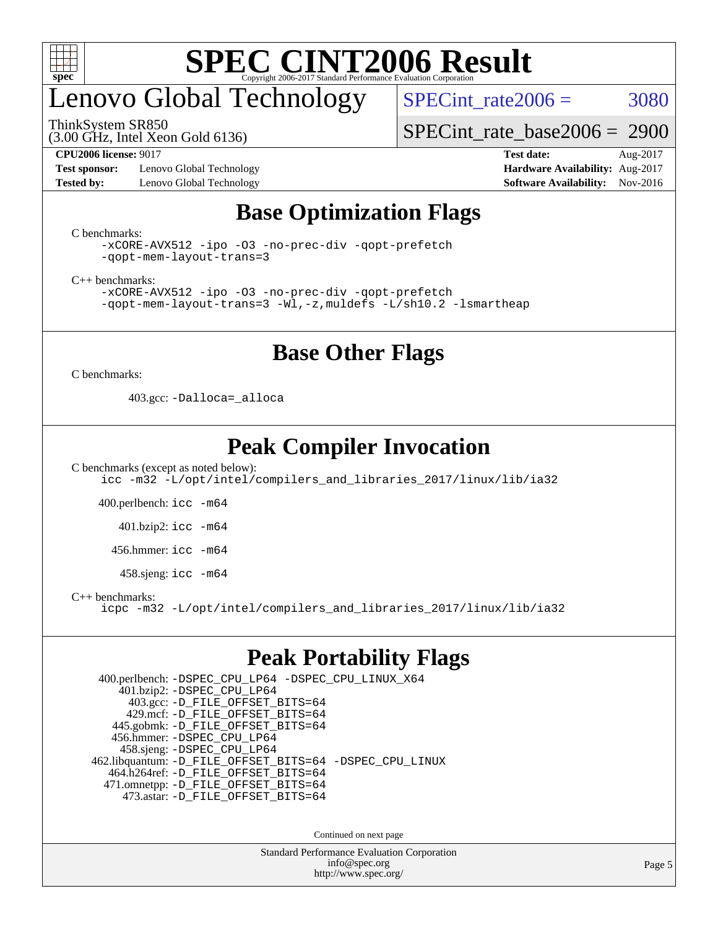![](_page_4_Picture_0.jpeg)

# enovo Global Technology

ThinkSystem SR850

(3.00 GHz, Intel Xeon Gold 6136)

SPECint rate $2006 = 3080$ 

[SPECint\\_rate\\_base2006 =](http://www.spec.org/auto/cpu2006/Docs/result-fields.html#SPECintratebase2006) 2900

**[Test sponsor:](http://www.spec.org/auto/cpu2006/Docs/result-fields.html#Testsponsor)** Lenovo Global Technology **[Hardware Availability:](http://www.spec.org/auto/cpu2006/Docs/result-fields.html#HardwareAvailability)** Aug-2017 **[Tested by:](http://www.spec.org/auto/cpu2006/Docs/result-fields.html#Testedby)** Lenovo Global Technology **[Software Availability:](http://www.spec.org/auto/cpu2006/Docs/result-fields.html#SoftwareAvailability)** Nov-2016

**[CPU2006 license:](http://www.spec.org/auto/cpu2006/Docs/result-fields.html#CPU2006license)** 9017 **[Test date:](http://www.spec.org/auto/cpu2006/Docs/result-fields.html#Testdate)** Aug-2017

### **[Base Optimization Flags](http://www.spec.org/auto/cpu2006/Docs/result-fields.html#BaseOptimizationFlags)**

[C benchmarks](http://www.spec.org/auto/cpu2006/Docs/result-fields.html#Cbenchmarks):

```
-xCORE-AVX512 -ipo -O3 -no-prec-div -qopt-prefetch
-qopt-mem-layout-trans=3
```
[C++ benchmarks:](http://www.spec.org/auto/cpu2006/Docs/result-fields.html#CXXbenchmarks)

[-xCORE-AVX512](http://www.spec.org/cpu2006/results/res2017q4/cpu2006-20170918-49944.flags.html#user_CXXbase_f-xCORE-AVX512) [-ipo](http://www.spec.org/cpu2006/results/res2017q4/cpu2006-20170918-49944.flags.html#user_CXXbase_f-ipo) [-O3](http://www.spec.org/cpu2006/results/res2017q4/cpu2006-20170918-49944.flags.html#user_CXXbase_f-O3) [-no-prec-div](http://www.spec.org/cpu2006/results/res2017q4/cpu2006-20170918-49944.flags.html#user_CXXbase_f-no-prec-div) [-qopt-prefetch](http://www.spec.org/cpu2006/results/res2017q4/cpu2006-20170918-49944.flags.html#user_CXXbase_f-qopt-prefetch) [-qopt-mem-layout-trans=3](http://www.spec.org/cpu2006/results/res2017q4/cpu2006-20170918-49944.flags.html#user_CXXbase_f-qopt-mem-layout-trans_170f5be61cd2cedc9b54468c59262d5d) [-Wl,-z,muldefs](http://www.spec.org/cpu2006/results/res2017q4/cpu2006-20170918-49944.flags.html#user_CXXbase_link_force_multiple1_74079c344b956b9658436fd1b6dd3a8a) [-L/sh10.2 -lsmartheap](http://www.spec.org/cpu2006/results/res2017q4/cpu2006-20170918-49944.flags.html#user_CXXbase_SmartHeap_b831f2d313e2fffa6dfe3f00ffc1f1c0)

### **[Base Other Flags](http://www.spec.org/auto/cpu2006/Docs/result-fields.html#BaseOtherFlags)**

[C benchmarks](http://www.spec.org/auto/cpu2006/Docs/result-fields.html#Cbenchmarks):

403.gcc: [-Dalloca=\\_alloca](http://www.spec.org/cpu2006/results/res2017q4/cpu2006-20170918-49944.flags.html#b403.gcc_baseEXTRA_CFLAGS_Dalloca_be3056838c12de2578596ca5467af7f3)

### **[Peak Compiler Invocation](http://www.spec.org/auto/cpu2006/Docs/result-fields.html#PeakCompilerInvocation)**

[C benchmarks \(except as noted below\)](http://www.spec.org/auto/cpu2006/Docs/result-fields.html#Cbenchmarksexceptasnotedbelow): [icc -m32 -L/opt/intel/compilers\\_and\\_libraries\\_2017/linux/lib/ia32](http://www.spec.org/cpu2006/results/res2017q4/cpu2006-20170918-49944.flags.html#user_CCpeak_intel_icc_c29f3ff5a7ed067b11e4ec10a03f03ae)

400.perlbench: [icc -m64](http://www.spec.org/cpu2006/results/res2017q4/cpu2006-20170918-49944.flags.html#user_peakCCLD400_perlbench_intel_icc_64bit_bda6cc9af1fdbb0edc3795bac97ada53)

401.bzip2: [icc -m64](http://www.spec.org/cpu2006/results/res2017q4/cpu2006-20170918-49944.flags.html#user_peakCCLD401_bzip2_intel_icc_64bit_bda6cc9af1fdbb0edc3795bac97ada53)

456.hmmer: [icc -m64](http://www.spec.org/cpu2006/results/res2017q4/cpu2006-20170918-49944.flags.html#user_peakCCLD456_hmmer_intel_icc_64bit_bda6cc9af1fdbb0edc3795bac97ada53)

458.sjeng: [icc -m64](http://www.spec.org/cpu2006/results/res2017q4/cpu2006-20170918-49944.flags.html#user_peakCCLD458_sjeng_intel_icc_64bit_bda6cc9af1fdbb0edc3795bac97ada53)

[C++ benchmarks:](http://www.spec.org/auto/cpu2006/Docs/result-fields.html#CXXbenchmarks)

[icpc -m32 -L/opt/intel/compilers\\_and\\_libraries\\_2017/linux/lib/ia32](http://www.spec.org/cpu2006/results/res2017q4/cpu2006-20170918-49944.flags.html#user_CXXpeak_intel_icpc_8c35c7808b62dab9ae41a1aa06361b6b)

### **[Peak Portability Flags](http://www.spec.org/auto/cpu2006/Docs/result-fields.html#PeakPortabilityFlags)**

 400.perlbench: [-DSPEC\\_CPU\\_LP64](http://www.spec.org/cpu2006/results/res2017q4/cpu2006-20170918-49944.flags.html#b400.perlbench_peakCPORTABILITY_DSPEC_CPU_LP64) [-DSPEC\\_CPU\\_LINUX\\_X64](http://www.spec.org/cpu2006/results/res2017q4/cpu2006-20170918-49944.flags.html#b400.perlbench_peakCPORTABILITY_DSPEC_CPU_LINUX_X64) 401.bzip2: [-DSPEC\\_CPU\\_LP64](http://www.spec.org/cpu2006/results/res2017q4/cpu2006-20170918-49944.flags.html#suite_peakCPORTABILITY401_bzip2_DSPEC_CPU_LP64) 403.gcc: [-D\\_FILE\\_OFFSET\\_BITS=64](http://www.spec.org/cpu2006/results/res2017q4/cpu2006-20170918-49944.flags.html#user_peakPORTABILITY403_gcc_file_offset_bits_64_438cf9856305ebd76870a2c6dc2689ab) 429.mcf: [-D\\_FILE\\_OFFSET\\_BITS=64](http://www.spec.org/cpu2006/results/res2017q4/cpu2006-20170918-49944.flags.html#user_peakPORTABILITY429_mcf_file_offset_bits_64_438cf9856305ebd76870a2c6dc2689ab) 445.gobmk: [-D\\_FILE\\_OFFSET\\_BITS=64](http://www.spec.org/cpu2006/results/res2017q4/cpu2006-20170918-49944.flags.html#user_peakPORTABILITY445_gobmk_file_offset_bits_64_438cf9856305ebd76870a2c6dc2689ab) 456.hmmer: [-DSPEC\\_CPU\\_LP64](http://www.spec.org/cpu2006/results/res2017q4/cpu2006-20170918-49944.flags.html#suite_peakCPORTABILITY456_hmmer_DSPEC_CPU_LP64) 458.sjeng: [-DSPEC\\_CPU\\_LP64](http://www.spec.org/cpu2006/results/res2017q4/cpu2006-20170918-49944.flags.html#suite_peakCPORTABILITY458_sjeng_DSPEC_CPU_LP64) 462.libquantum: [-D\\_FILE\\_OFFSET\\_BITS=64](http://www.spec.org/cpu2006/results/res2017q4/cpu2006-20170918-49944.flags.html#user_peakPORTABILITY462_libquantum_file_offset_bits_64_438cf9856305ebd76870a2c6dc2689ab) [-DSPEC\\_CPU\\_LINUX](http://www.spec.org/cpu2006/results/res2017q4/cpu2006-20170918-49944.flags.html#b462.libquantum_peakCPORTABILITY_DSPEC_CPU_LINUX) 464.h264ref: [-D\\_FILE\\_OFFSET\\_BITS=64](http://www.spec.org/cpu2006/results/res2017q4/cpu2006-20170918-49944.flags.html#user_peakPORTABILITY464_h264ref_file_offset_bits_64_438cf9856305ebd76870a2c6dc2689ab) 471.omnetpp: [-D\\_FILE\\_OFFSET\\_BITS=64](http://www.spec.org/cpu2006/results/res2017q4/cpu2006-20170918-49944.flags.html#user_peakPORTABILITY471_omnetpp_file_offset_bits_64_438cf9856305ebd76870a2c6dc2689ab) 473.astar: [-D\\_FILE\\_OFFSET\\_BITS=64](http://www.spec.org/cpu2006/results/res2017q4/cpu2006-20170918-49944.flags.html#user_peakPORTABILITY473_astar_file_offset_bits_64_438cf9856305ebd76870a2c6dc2689ab)

Continued on next page

Standard Performance Evaluation Corporation [info@spec.org](mailto:info@spec.org) <http://www.spec.org/>

Page 5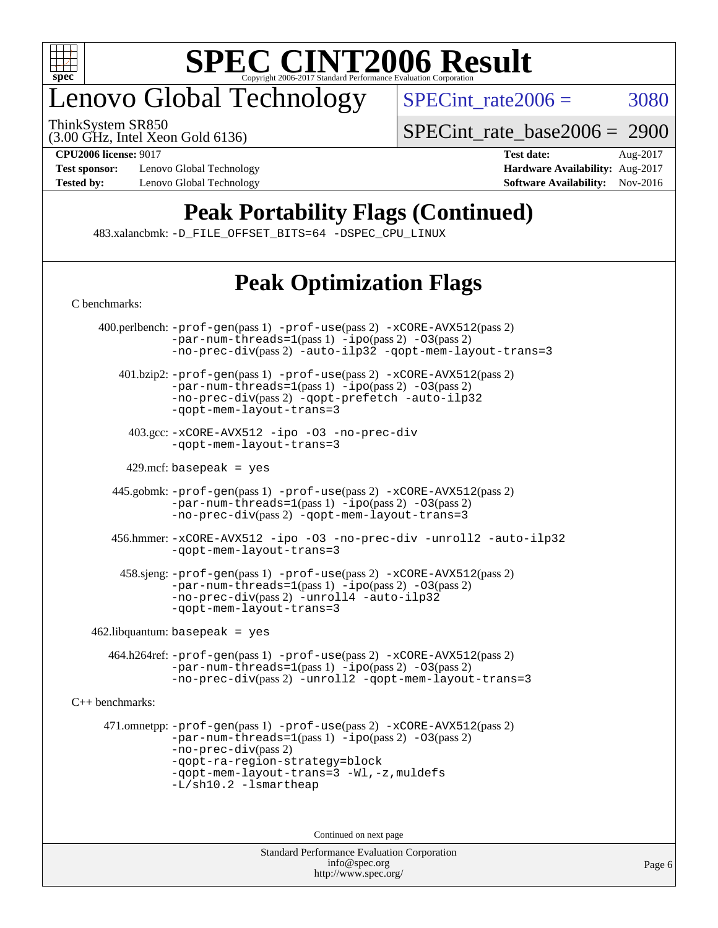![](_page_5_Picture_0.jpeg)

# enovo Global Technology

ThinkSystem SR850

 $SPECTnt_rate2006 = 3080$ 

(3.00 GHz, Intel Xeon Gold 6136)

[SPECint\\_rate\\_base2006 =](http://www.spec.org/auto/cpu2006/Docs/result-fields.html#SPECintratebase2006) 2900

**[Test sponsor:](http://www.spec.org/auto/cpu2006/Docs/result-fields.html#Testsponsor)** Lenovo Global Technology **[Hardware Availability:](http://www.spec.org/auto/cpu2006/Docs/result-fields.html#HardwareAvailability)** Aug-2017 **[Tested by:](http://www.spec.org/auto/cpu2006/Docs/result-fields.html#Testedby)** Lenovo Global Technology **[Software Availability:](http://www.spec.org/auto/cpu2006/Docs/result-fields.html#SoftwareAvailability)** Nov-2016

**[CPU2006 license:](http://www.spec.org/auto/cpu2006/Docs/result-fields.html#CPU2006license)** 9017 **[Test date:](http://www.spec.org/auto/cpu2006/Docs/result-fields.html#Testdate)** Aug-2017

### **[Peak Portability Flags \(Continued\)](http://www.spec.org/auto/cpu2006/Docs/result-fields.html#PeakPortabilityFlags)**

483.xalancbmk: [-D\\_FILE\\_OFFSET\\_BITS=64](http://www.spec.org/cpu2006/results/res2017q4/cpu2006-20170918-49944.flags.html#user_peakPORTABILITY483_xalancbmk_file_offset_bits_64_438cf9856305ebd76870a2c6dc2689ab) [-DSPEC\\_CPU\\_LINUX](http://www.spec.org/cpu2006/results/res2017q4/cpu2006-20170918-49944.flags.html#b483.xalancbmk_peakCXXPORTABILITY_DSPEC_CPU_LINUX)

### **[Peak Optimization Flags](http://www.spec.org/auto/cpu2006/Docs/result-fields.html#PeakOptimizationFlags)**

| C benchmarks:     |                                                                                                                                                                                                                                                                     |
|-------------------|---------------------------------------------------------------------------------------------------------------------------------------------------------------------------------------------------------------------------------------------------------------------|
|                   | 400.perlbench: -prof-gen(pass 1) -prof-use(pass 2) -xCORE-AVX512(pass 2)<br>$-par-num-threads=1(pass 1) -ipo(pass 2) -03(pass 2)$<br>-no-prec-div(pass 2) -auto-ilp32 -qopt-mem-layout-trans=3                                                                      |
|                   | $401 \text{.}$ bzip2: -prof-gen(pass 1) -prof-use(pass 2) -xCORE-AVX512(pass 2)<br>$-par-num-threads=1(pass 1) -ipo(pass 2) -03(pass 2)$<br>-no-prec-div(pass 2) -qopt-prefetch -auto-ilp32<br>-gopt-mem-layout-trans=3                                             |
|                   | 403.gcc: -xCORE-AVX512 -ipo -03 -no-prec-div<br>-gopt-mem-layout-trans=3                                                                                                                                                                                            |
|                   | $429$ .mcf: basepeak = yes                                                                                                                                                                                                                                          |
|                   | 445.gobmk: -prof-gen(pass 1) -prof-use(pass 2) -xCORE-AVX512(pass 2)<br>$-par-num-threads=1(pass 1) -ipo(pass 2) -03(pass 2)$<br>-no-prec-div(pass 2) -qopt-mem-layout-trans=3                                                                                      |
|                   | 456.hmmer: -xCORE-AVX512 -ipo -03 -no-prec-div -unroll2 -auto-ilp32<br>-gopt-mem-layout-trans=3                                                                                                                                                                     |
|                   | 458.sjeng: -prof-gen(pass 1) -prof-use(pass 2) -xCORE-AVX512(pass 2)<br>$-par-num-threads=1(pass 1) -ipo(pass 2) -03(pass 2)$<br>-no-prec-div(pass 2) -unroll4 -auto-ilp32<br>-gopt-mem-layout-trans=3                                                              |
|                   | $462$ .libquantum: basepeak = yes                                                                                                                                                                                                                                   |
|                   | 464.h264ref: -prof-gen(pass 1) -prof-use(pass 2) -xCORE-AVX512(pass 2)<br>$-par-num-threads=1(pass 1) -ipo(pass 2) -03(pass 2)$<br>-no-prec-div(pass 2) -unroll2 -qopt-mem-layout-trans=3                                                                           |
| $C++$ benchmarks: |                                                                                                                                                                                                                                                                     |
|                   | 471.omnetpp: -prof-gen(pass 1) -prof-use(pass 2) -xCORE-AVX512(pass 2)<br>$-par-num-threads=1(pass 1) -ipo(pass 2) -03(pass 2)$<br>-no-prec-div(pass 2)<br>-qopt-ra-region-strategy=block<br>-gopt-mem-layout-trans=3 -Wl,-z, muldefs<br>$-L/\nsh10.2 - lsmartheap$ |
|                   | Continued on next page                                                                                                                                                                                                                                              |
|                   | $\mathbf{r}$ and $\mathbf{r}$<br>$\mathbf{1}$ $\mathbf{1}$ $\mathbf{0}$ $\mathbf{0}$                                                                                                                                                                                |

Standard Performance Evaluation Corporation [info@spec.org](mailto:info@spec.org) <http://www.spec.org/>